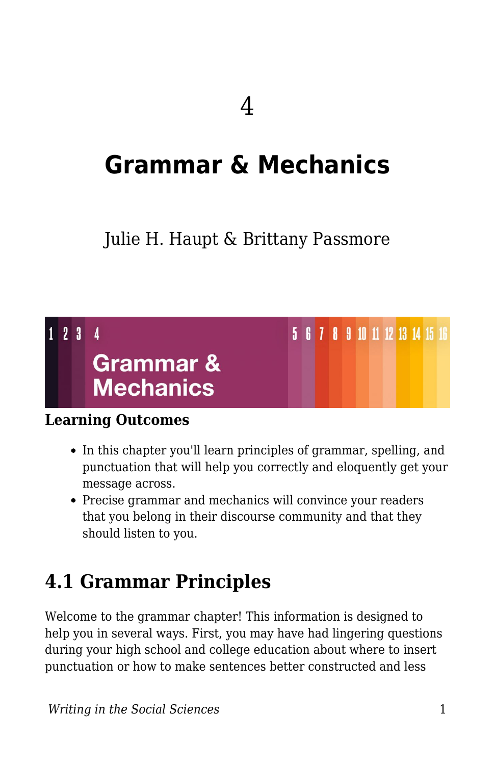# **Grammar & Mechanics**

### Julie H. Haupt & Brittany Passmore

### 5 6 7 8 9 10 11 12 13 14 15 16  $1\quad 2\quad 3\quad 4$ **Grammar & Mechanics**

#### **Learning Outcomes**

- In this chapter you'll learn principles of grammar, spelling, and punctuation that will help you correctly and eloquently get your message across.
- Precise grammar and mechanics will convince your readers that you belong in their discourse community and that they should listen to you.

## **4.1 Grammar Principles**

Welcome to the grammar chapter! This information is designed to help you in several ways. First, you may have had lingering questions during your high school and college education about where to insert punctuation or how to make sentences better constructed and less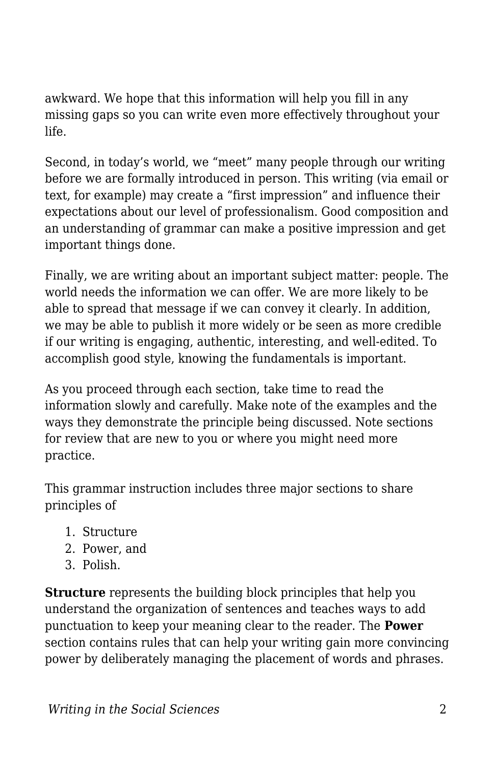awkward. We hope that this information will help you fill in any missing gaps so you can write even more effectively throughout your life.

Second, in today's world, we "meet" many people through our writing before we are formally introduced in person. This writing (via email or text, for example) may create a "first impression" and influence their expectations about our level of professionalism. Good composition and an understanding of grammar can make a positive impression and get important things done.

Finally, we are writing about an important subject matter: people. The world needs the information we can offer. We are more likely to be able to spread that message if we can convey it clearly. In addition, we may be able to publish it more widely or be seen as more credible if our writing is engaging, authentic, interesting, and well-edited. To accomplish good style, knowing the fundamentals is important.

As you proceed through each section, take time to read the information slowly and carefully. Make note of the examples and the ways they demonstrate the principle being discussed. Note sections for review that are new to you or where you might need more practice.

This grammar instruction includes three major sections to share principles of

- 1. Structure
- 2. Power, and
- 3. Polish.

**Structure** represents the building block principles that help you understand the organization of sentences and teaches ways to add punctuation to keep your meaning clear to the reader. The **Power** section contains rules that can help your writing gain more convincing power by deliberately managing the placement of words and phrases.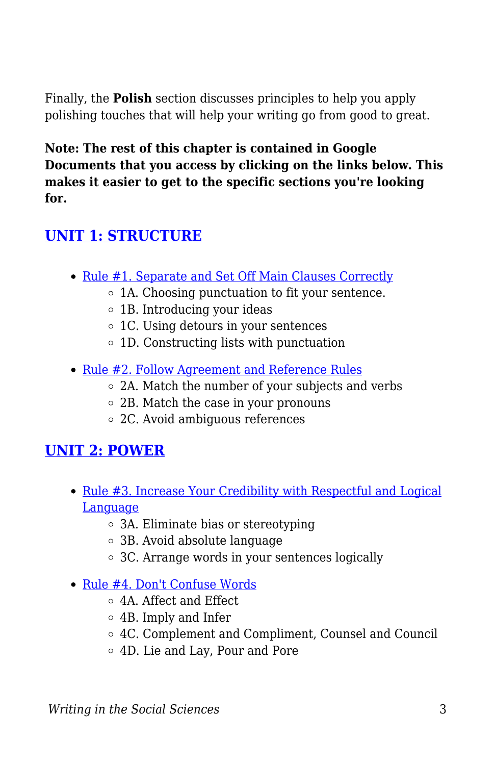Finally, the **Polish** section discusses principles to help you apply polishing touches that will help your writing go from good to great.

**Note: The rest of this chapter is contained in Google Documents that you access by clicking on the links below. This makes it easier to get to the specific sections you're looking for.**

### **[UNIT 1: STRUCTURE](https://docs.google.com/document/d/1QmEa3q8E_V_G9hZU4s85inY8AfRUt6h2vwf2WZqUxyI/edit?usp=sharing)**

- [Rule #1. Separate and Set Off Main Clauses Correctly](https://docs.google.com/document/d/1QmEa3q8E_V_G9hZU4s85inY8AfRUt6h2vwf2WZqUxyI/edit?usp=sharing)
	- 1A. Choosing punctuation to fit your sentence.
	- $\circ$  1B. Introducing your ideas
	- 1C. Using detours in your sentences
	- 1D. Constructing lists with punctuation
- [Rule #2. Follow Agreement and Reference Rules](https://docs.google.com/document/d/1QmEa3q8E_V_G9hZU4s85inY8AfRUt6h2vwf2WZqUxyI/edit#heading=h.uxvtcbsgjkz3)
	- 2A. Match the number of your subjects and verbs
	- 2B. Match the case in your pronouns
	- 2C. Avoid ambiguous references

#### **[UNIT 2: POWER](https://docs.google.com/document/d/13NuqTZa5tD95Lk00PacuKU8XBWxmPhz88CDRtvBq9A8/edit?usp=sharing)**

- [Rule #3. Increase Your Credibility with Respectful and Logical](https://docs.google.com/document/d/13NuqTZa5tD95Lk00PacuKU8XBWxmPhz88CDRtvBq9A8/edit?usp=sharing) [Language](https://docs.google.com/document/d/13NuqTZa5tD95Lk00PacuKU8XBWxmPhz88CDRtvBq9A8/edit?usp=sharing)
	- 3A. Eliminate bias or stereotyping
	- 3B. Avoid absolute language
	- 3C. Arrange words in your sentences logically
- [Rule #4. Don't Confuse Words](https://docs.google.com/document/d/13NuqTZa5tD95Lk00PacuKU8XBWxmPhz88CDRtvBq9A8/edit#heading=h.7geqkd9hj9y7)
	- 4A. Affect and Effect
	- 4B. Imply and Infer
	- 4C. Complement and Compliment, Counsel and Council
	- 4D. Lie and Lay, Pour and Pore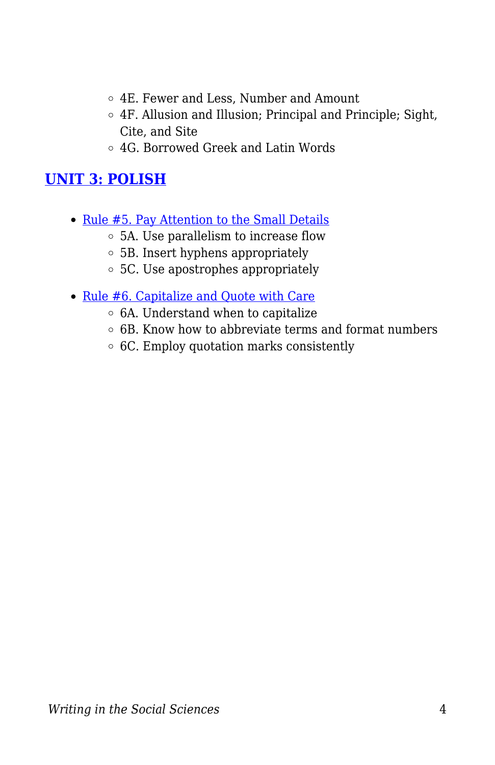- 4E. Fewer and Less, Number and Amount
- 4F. Allusion and Illusion; Principal and Principle; Sight, Cite, and Site
- 4G. Borrowed Greek and Latin Words

### **[UNIT 3: POLISH](https://docs.google.com/document/d/1UM-K3TbwAPUN_aB3Syt4koHobbJlr6fRSRoaBe1N5E4/edit?usp=sharing)**

- [Rule #5. Pay Attention to the Small Details](https://docs.google.com/document/d/1UM-K3TbwAPUN_aB3Syt4koHobbJlr6fRSRoaBe1N5E4/edit?usp=sharing)
	- 5A. Use parallelism to increase flow
	- 5B. Insert hyphens appropriately
	- 5C. Use apostrophes appropriately
- [Rule #6. Capitalize and Quote with Care](https://docs.google.com/document/d/1UM-K3TbwAPUN_aB3Syt4koHobbJlr6fRSRoaBe1N5E4/edit#heading=h.f2olvthz10ic)
	- $\circ$  6A. Understand when to capitalize
	- $\circ$  6B. Know how to abbreviate terms and format numbers
	- 6C. Employ quotation marks consistently